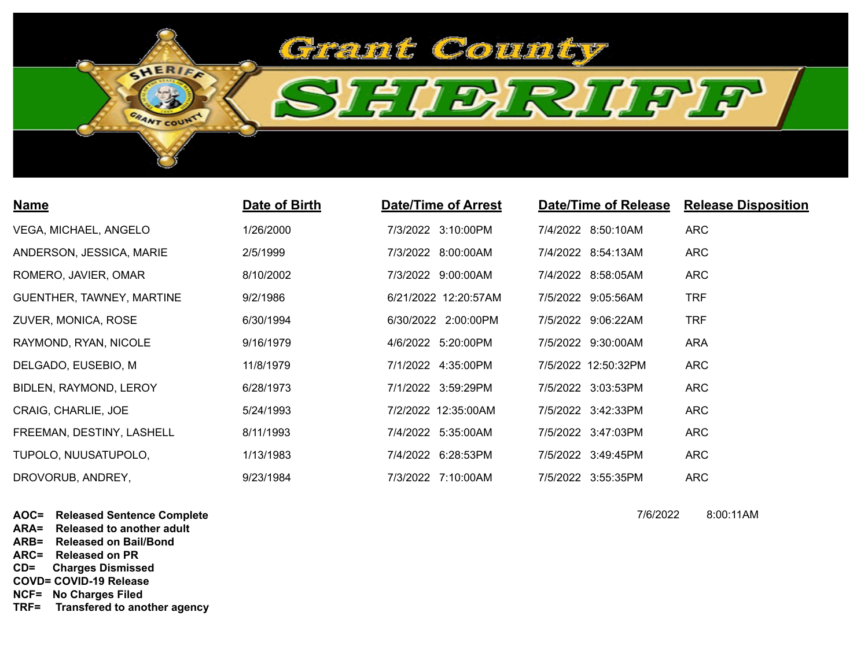

| <b>Name</b>               | Date of Birth | <b>Date/Time of Arrest</b> | Date/Time of Release | <b>Release Disposition</b> |
|---------------------------|---------------|----------------------------|----------------------|----------------------------|
| VEGA, MICHAEL, ANGELO     | 1/26/2000     | 7/3/2022 3:10:00PM         | 7/4/2022 8:50:10AM   | <b>ARC</b>                 |
| ANDERSON, JESSICA, MARIE  | 2/5/1999      | 7/3/2022 8:00:00AM         | 7/4/2022 8:54:13AM   | <b>ARC</b>                 |
| ROMERO, JAVIER, OMAR      | 8/10/2002     | 7/3/2022 9:00:00AM         | 7/4/2022 8:58:05AM   | ARC                        |
| GUENTHER, TAWNEY, MARTINE | 9/2/1986      | 6/21/2022 12:20:57AM       | 7/5/2022 9:05:56AM   | <b>TRF</b>                 |
| ZUVER, MONICA, ROSE       | 6/30/1994     | 6/30/2022 2:00:00PM        | 7/5/2022 9:06:22AM   | <b>TRF</b>                 |
| RAYMOND, RYAN, NICOLE     | 9/16/1979     | 4/6/2022 5:20:00PM         | 7/5/2022 9:30:00AM   | ARA                        |
| DELGADO, EUSEBIO, M       | 11/8/1979     | 7/1/2022 4:35:00PM         | 7/5/2022 12:50:32PM  | <b>ARC</b>                 |
| BIDLEN, RAYMOND, LEROY    | 6/28/1973     | 7/1/2022 3:59:29PM         | 7/5/2022 3:03:53PM   | <b>ARC</b>                 |
| CRAIG, CHARLIE, JOE       | 5/24/1993     | 7/2/2022 12:35:00AM        | 7/5/2022 3:42:33PM   | <b>ARC</b>                 |
| FREEMAN, DESTINY, LASHELL | 8/11/1993     | 7/4/2022 5:35:00AM         | 7/5/2022 3:47:03PM   | ARC                        |
| TUPOLO, NUUSATUPOLO,      | 1/13/1983     | 7/4/2022 6:28:53PM         | 7/5/2022 3:49:45PM   | <b>ARC</b>                 |
| DROVORUB, ANDREY,         | 9/23/1984     | 7/3/2022 7:10:00AM         | 7/5/2022 3:55:35PM   | <b>ARC</b>                 |

**AOC= Released Sentence Complete**

**ARA= Released to another adult**

**ARB= Released on Bail/Bond**

**ARC= Released on PR**

**CD= Charges Dismissed**

**COVD= COVID-19 Release**

**NCF= No Charges Filed**

**TRF= Transfered to another agency**

7/6/2022 8:00:11AM